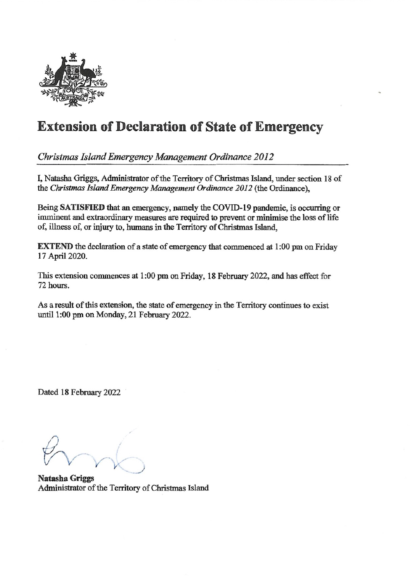

## Extension of Declaration of State of Emergency

Christmas Island Emergency Management Ordinance 2012

I, Natasha Griggs, Administrator of the Territory of Christmas Island, under section 18 of the Christmas Island Emergency Management Ordinance 2012 (the Ordinance),

Being SATISFIED that an emergency, namely the COVID-19 pandemic, is occurring or imminent and extraordinary measures are required to prevent or minimise the loss of life of, illness of, or injury to, humans in the Territory of Christmas Island,

EXTEND the declaration of a state of emergency that commenced at 1:00 pm on Friday 17 April 2020.

This extension commences at 1:00 pm on Friday, 18 February 2022, and has effect for 72 hours.

As a result of this extension, the state of emergency in the Territory continues to exist until 1:00 pm on Monday, 21 February 2022.

Dated 18 February 2022

 $\left( \begin{array}{c} \cdot \\ \cdot \end{array} \right)$ • /

Natasha Griggs Administrator of the Territory of Christmas Island